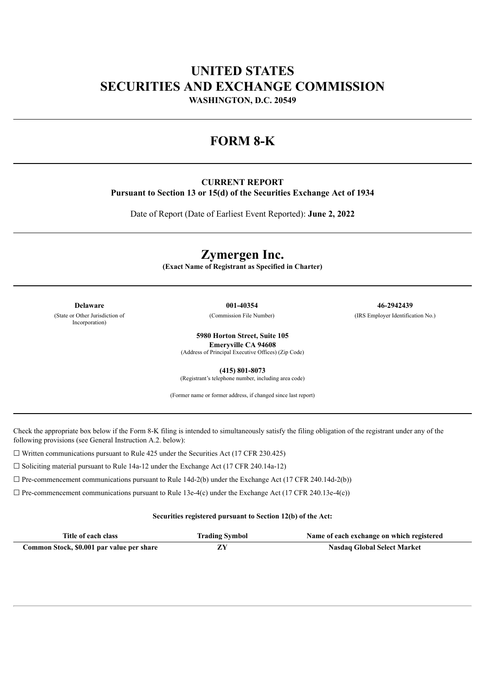# **UNITED STATES SECURITIES AND EXCHANGE COMMISSION**

**WASHINGTON, D.C. 20549**

### **FORM 8-K**

### **CURRENT REPORT**

**Pursuant to Section 13 or 15(d) of the Securities Exchange Act of 1934**

Date of Report (Date of Earliest Event Reported): **June 2, 2022**

## **Zymergen Inc.**

**(Exact Name of Registrant as Specified in Charter)**

(State or Other Jurisdiction of Incorporation)

**Delaware 001-40354 46-2942439** (Commission File Number) (IRS Employer Identification No.)

**5980 Horton Street, Suite 105**

**Emeryville CA 94608**

(Address of Principal Executive Offices) (Zip Code)

**(415) 801-8073** (Registrant's telephone number, including area code)

(Former name or former address, if changed since last report)

Check the appropriate box below if the Form 8-K filing is intended to simultaneously satisfy the filing obligation of the registrant under any of the following provisions (see General Instruction A.2. below):

 $\Box$  Written communications pursuant to Rule 425 under the Securities Act (17 CFR 230.425)

☐ Soliciting material pursuant to Rule 14a-12 under the Exchange Act (17 CFR 240.14a-12)

 $\Box$  Pre-commencement communications pursuant to Rule 14d-2(b) under the Exchange Act (17 CFR 240.14d-2(b))

 $\Box$  Pre-commencement communications pursuant to Rule 13e-4(c) under the Exchange Act (17 CFR 240.13e-4(c))

### **Securities registered pursuant to Section 12(b) of the Act:**

| Title of each class                       | <b>Trading Symbol</b> | Name of each exchange on which registered |
|-------------------------------------------|-----------------------|-------------------------------------------|
| Common Stock, \$0.001 par value per share |                       | <b>Nasdaq Global Select Market</b>        |